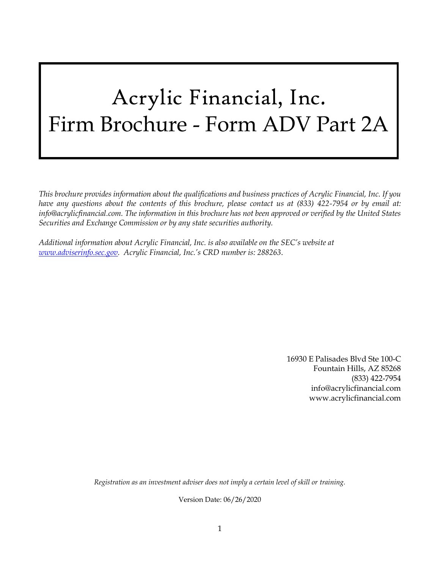# Acrylic Financial, Inc. Firm Brochure - Form ADV Part 2A

*This brochure provides information about the qualifications and business practices of Acrylic Financial, Inc. If you have any questions about the contents of this brochure, please contact us at (833) 422-7954 or by email at: info@acrylicfinancial.com. The information in this brochure has not been approved or verified by the United States Securities and Exchange Commission or by any state securities authority.*

*Additional information about Acrylic Financial, Inc. is also available on the SEC's website at [www.adviserinfo.sec.gov.](http://www.adviserinfo.sec.gov/) Acrylic Financial, Inc.'s CRD number is: 288263*.

> 16930 E Palisades Blvd Ste 100-C Fountain Hills, AZ 85268 (833) 422-7954 info@acrylicfinancial.com www.acrylicfinancial.com

*Registration as an investment adviser does not imply a certain level of skill or training.*

Version Date: 06/26/2020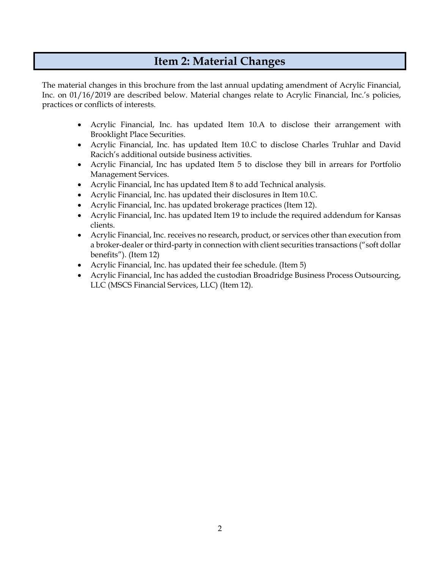# **Item 2: Material Changes**

<span id="page-1-0"></span>The material changes in this brochure from the last annual updating amendment of Acrylic Financial, Inc. on 01/16/2019 are described below. Material changes relate to Acrylic Financial, Inc.'s policies, practices or conflicts of interests.

- Acrylic Financial, Inc. has updated Item 10.A to disclose their arrangement with Brooklight Place Securities.
- Acrylic Financial, Inc. has updated Item 10.C to disclose Charles Truhlar and David Racich's additional outside business activities.
- Acrylic Financial, Inc has updated Item 5 to disclose they bill in arrears for Portfolio Management Services.
- Acrylic Financial, Inc has updated Item 8 to add Technical analysis.
- Acrylic Financial, Inc. has updated their disclosures in Item 10.C.
- Acrylic Financial, Inc. has updated brokerage practices (Item 12).
- Acrylic Financial, Inc. has updated Item 19 to include the required addendum for Kansas clients.
- Acrylic Financial, Inc. receives no research, product, or services other than execution from a broker-dealer or third-party in connection with client securities transactions ("soft dollar benefits"). (Item 12)
- Acrylic Financial, Inc. has updated their fee schedule. (Item 5)
- Acrylic Financial, Inc has added the custodian Broadridge Business Process Outsourcing, LLC (MSCS Financial Services, LLC) (Item 12).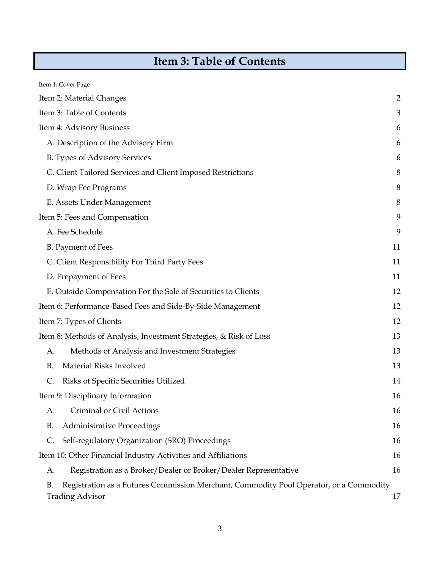# **Item 3: Table of Contents**

<span id="page-2-0"></span>

| Item 1: Cover Page                                                                                                            |                |
|-------------------------------------------------------------------------------------------------------------------------------|----------------|
| Item 2: Material Changes                                                                                                      | $\overline{2}$ |
| Item 3: Table of Contents                                                                                                     | 3              |
| Item 4: Advisory Business                                                                                                     | 6              |
| A. Description of the Advisory Firm                                                                                           | 6              |
| B. Types of Advisory Services                                                                                                 | 6              |
| C. Client Tailored Services and Client Imposed Restrictions                                                                   | 8              |
| D. Wrap Fee Programs                                                                                                          | 8              |
| E. Assets Under Management                                                                                                    | 8              |
| Item 5: Fees and Compensation                                                                                                 | 9              |
| A. Fee Schedule                                                                                                               | 9              |
| <b>B.</b> Payment of Fees                                                                                                     | 11             |
| C. Client Responsibility For Third Party Fees                                                                                 | 11             |
| D. Prepayment of Fees                                                                                                         | 11             |
| E. Outside Compensation For the Sale of Securities to Clients                                                                 | 12             |
| Item 6: Performance-Based Fees and Side-By-Side Management                                                                    | 12             |
| Item 7: Types of Clients                                                                                                      | 12             |
| Item 8: Methods of Analysis, Investment Strategies, & Risk of Loss                                                            | 13             |
| Methods of Analysis and Investment Strategies<br>А.                                                                           | 13             |
| Material Risks Involved<br><b>B.</b>                                                                                          | 13             |
| C.<br>Risks of Specific Securities Utilized                                                                                   | 14             |
| Item 9: Disciplinary Information                                                                                              | 16             |
| Criminal or Civil Actions<br>А.                                                                                               | 16             |
| <b>Administrative Proceedings</b><br><b>B.</b>                                                                                | 16             |
| Self-regulatory Organization (SRO) Proceedings<br>C.                                                                          | 16             |
| Item 10: Other Financial Industry Activities and Affiliations                                                                 | 16             |
| Registration as a Broker/Dealer or Broker/Dealer Representative<br>A.                                                         | 16             |
| Registration as a Futures Commission Merchant, Commodity Pool Operator, or a Commodity<br><b>B.</b><br><b>Trading Advisor</b> | 17             |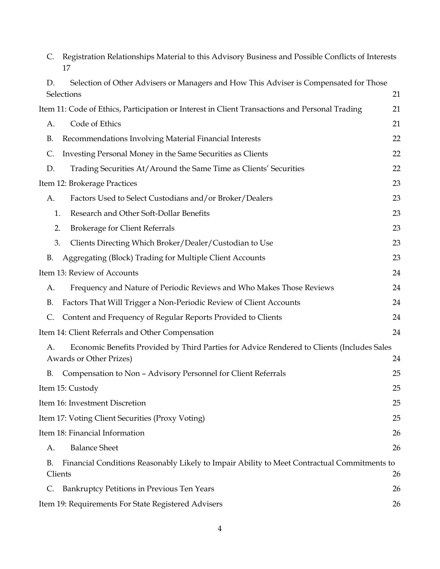| C.        | Registration Relationships Material to this Advisory Business and Possible Conflicts of Interests<br>17                      |    |
|-----------|------------------------------------------------------------------------------------------------------------------------------|----|
| D.        | Selection of Other Advisers or Managers and How This Adviser is Compensated for Those<br>Selections                          | 21 |
|           | Item 11: Code of Ethics, Participation or Interest in Client Transactions and Personal Trading                               | 21 |
| A.        | Code of Ethics                                                                                                               | 21 |
| <b>B.</b> | Recommendations Involving Material Financial Interests                                                                       | 22 |
| C.        | Investing Personal Money in the Same Securities as Clients                                                                   | 22 |
| D.        | Trading Securities At/Around the Same Time as Clients' Securities                                                            | 22 |
|           | Item 12: Brokerage Practices                                                                                                 | 23 |
| А.        | Factors Used to Select Custodians and/or Broker/Dealers                                                                      | 23 |
|           | Research and Other Soft-Dollar Benefits<br>1.                                                                                | 23 |
|           | 2.<br><b>Brokerage for Client Referrals</b>                                                                                  | 23 |
|           | 3.<br>Clients Directing Which Broker/Dealer/Custodian to Use                                                                 | 23 |
| <b>B.</b> | Aggregating (Block) Trading for Multiple Client Accounts                                                                     | 23 |
|           | Item 13: Review of Accounts                                                                                                  | 24 |
| A.        | Frequency and Nature of Periodic Reviews and Who Makes Those Reviews                                                         | 24 |
| <b>B.</b> | Factors That Will Trigger a Non-Periodic Review of Client Accounts                                                           | 24 |
| C.        | Content and Frequency of Regular Reports Provided to Clients                                                                 | 24 |
|           | Item 14: Client Referrals and Other Compensation                                                                             | 24 |
| A.        | Economic Benefits Provided by Third Parties for Advice Rendered to Clients (Includes Sales<br><b>Awards or Other Prizes)</b> | 24 |
|           | B. Compensation to Non - Advisory Personnel for Client Referrals                                                             | 25 |
|           | Item 15: Custody                                                                                                             | 25 |
|           | Item 16: Investment Discretion                                                                                               | 25 |
|           | Item 17: Voting Client Securities (Proxy Voting)                                                                             | 25 |
|           | Item 18: Financial Information                                                                                               | 26 |
| A.        | <b>Balance Sheet</b>                                                                                                         | 26 |
| <b>B.</b> | Financial Conditions Reasonably Likely to Impair Ability to Meet Contractual Commitments to<br>Clients                       | 26 |
| C.        | Bankruptcy Petitions in Previous Ten Years                                                                                   | 26 |
|           | Item 19: Requirements For State Registered Advisers                                                                          | 26 |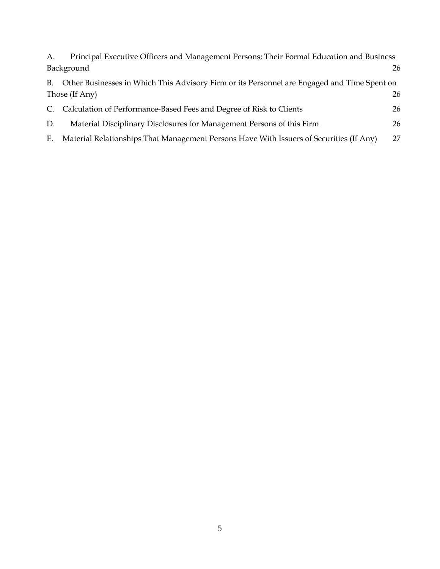| А. | Principal Executive Officers and Management Persons; Their Formal Education and Business       |    |  |  |
|----|------------------------------------------------------------------------------------------------|----|--|--|
|    | Background<br>26                                                                               |    |  |  |
|    | B. Other Businesses in Which This Advisory Firm or its Personnel are Engaged and Time Spent on |    |  |  |
|    | Those (If Any)<br>26                                                                           |    |  |  |
| C. | Calculation of Performance-Based Fees and Degree of Risk to Clients                            | 26 |  |  |
| D. | Material Disciplinary Disclosures for Management Persons of this Firm                          | 26 |  |  |
| Е. | Material Relationships That Management Persons Have With Issuers of Securities (If Any)        | 27 |  |  |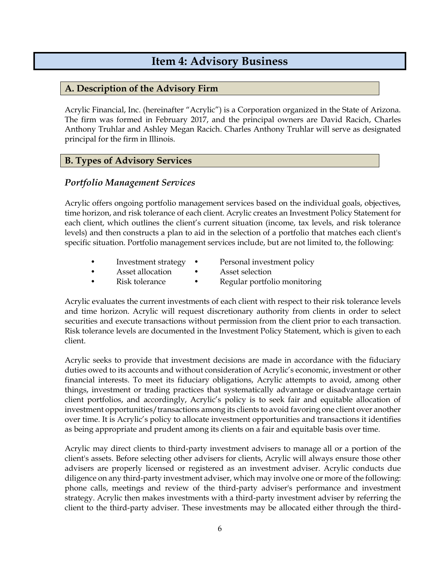# **Item 4: Advisory Business**

### <span id="page-5-1"></span><span id="page-5-0"></span>**A. Description of the Advisory Firm**

Acrylic Financial, Inc. (hereinafter "Acrylic") is a Corporation organized in the State of Arizona. The firm was formed in February 2017, and the principal owners are David Racich, Charles Anthony Truhlar and Ashley Megan Racich. Charles Anthony Truhlar will serve as designated principal for the firm in Illinois.

### <span id="page-5-2"></span>**B. Types of Advisory Services**

### *Portfolio Management Services*

Acrylic offers ongoing portfolio management services based on the individual goals, objectives, time horizon, and risk tolerance of each client. Acrylic creates an Investment Policy Statement for each client, which outlines the client's current situation (income, tax levels, and risk tolerance levels) and then constructs a plan to aid in the selection of a portfolio that matches each client's specific situation. Portfolio management services include, but are not limited to, the following:

- Investment strategy Personal investment policy
- 
- Asset allocation Asset selection
- - Risk tolerance Regular portfolio monitoring

Acrylic evaluates the current investments of each client with respect to their risk tolerance levels and time horizon. Acrylic will request discretionary authority from clients in order to select securities and execute transactions without permission from the client prior to each transaction. Risk tolerance levels are documented in the Investment Policy Statement, which is given to each client.

Acrylic seeks to provide that investment decisions are made in accordance with the fiduciary duties owed to its accounts and without consideration of Acrylic's economic, investment or other financial interests. To meet its fiduciary obligations, Acrylic attempts to avoid, among other things, investment or trading practices that systematically advantage or disadvantage certain client portfolios, and accordingly, Acrylic's policy is to seek fair and equitable allocation of investment opportunities/transactions among its clients to avoid favoring one client over another over time. It is Acrylic's policy to allocate investment opportunities and transactions it identifies as being appropriate and prudent among its clients on a fair and equitable basis over time.

Acrylic may direct clients to third-party investment advisers to manage all or a portion of the client's assets. Before selecting other advisers for clients, Acrylic will always ensure those other advisers are properly licensed or registered as an investment adviser. Acrylic conducts due diligence on any third-party investment adviser, which may involve one or more of the following: phone calls, meetings and review of the third-party adviser's performance and investment strategy. Acrylic then makes investments with a third-party investment adviser by referring the client to the third-party adviser. These investments may be allocated either through the third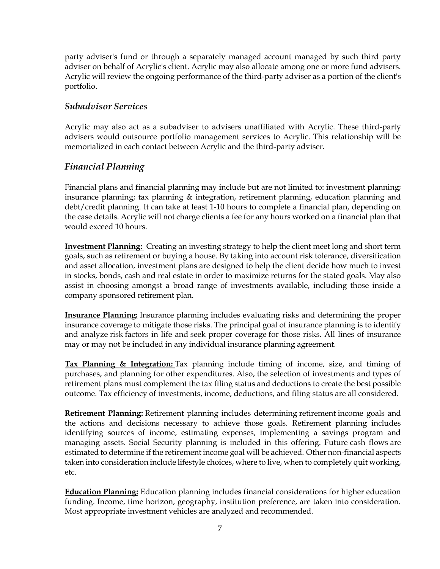party adviser's fund or through a separately managed account managed by such third party adviser on behalf of Acrylic's client. Acrylic may also allocate among one or more fund advisers. Acrylic will review the ongoing performance of the third-party adviser as a portion of the client's portfolio.

### *Subadvisor Services*

Acrylic may also act as a subadviser to advisers unaffiliated with Acrylic. These third-party advisers would outsource portfolio management services to Acrylic. This relationship will be memorialized in each contact between Acrylic and the third-party adviser.

### *Financial Planning*

Financial plans and financial planning may include but are not limited to: investment planning; insurance planning; tax planning & integration, retirement planning, education planning and debt/credit planning. It can take at least 1-10 hours to complete a financial plan, depending on the case details. Acrylic will not charge clients a fee for any hours worked on a financial plan that would exceed 10 hours.

**Investment Planning:** Creating an investing strategy to help the client meet long and short term goals, such as retirement or buying a house. By taking into account risk tolerance, diversification and asset allocation, investment plans are designed to help the client decide how much to invest in stocks, bonds, cash and real estate in order to maximize returns for the stated goals. May also assist in choosing amongst a broad range of investments available, including those inside a company sponsored retirement plan.

**Insurance Planning:** Insurance planning includes evaluating risks and determining the proper insurance coverage to mitigate those risks. The principal goal of insurance planning is to identify and analyze risk factors in life and seek proper coverage for those risks. All lines of insurance may or may not be included in any individual insurance planning agreement.

**Tax Planning & Integration:** Tax planning include timing of income, size, and timing of purchases, and planning for other expenditures. Also, the selection of investments and types of retirement plans must complement the tax filing status and deductions to create the best possible outcome. Tax efficiency of investments, income, deductions, and filing status are all considered.

**Retirement Planning:** Retirement planning includes determining [retirement](https://www.investopedia.com/terms/r/retirement.asp) income goals and the actions and decisions necessary to achieve those goals. Retirement planning includes identifying sources of income, estimating expenses, implementing a savings program and managing assets. Social Security planning is included in this offering. Future [cash flows](https://www.investopedia.com/terms/c/cashflow.asp) are estimated to determine if the retirement income goal will be achieved. Other non-financial aspects taken into consideration include lifestyle choices, where to live, when to completely quit working, etc.

**Education Planning:** Education planning includes financial considerations for higher education funding. Income, time horizon, geography, institution preference, are taken into consideration. Most appropriate investment vehicles are analyzed and recommended.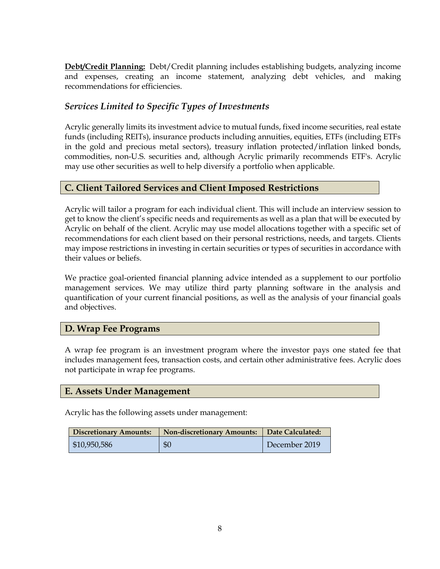**Debt/Credit Planning:** Debt/Credit planning includes establishing budgets, analyzing income and expenses, creating an income statement, analyzing debt vehicles, and making recommendations for efficiencies.

# *Services Limited to Specific Types of Investments*

Acrylic generally limits its investment advice to mutual funds, fixed income securities, real estate funds (including REITs), insurance products including annuities, equities, ETFs (including ETFs in the gold and precious metal sectors), treasury inflation protected/inflation linked bonds, commodities, non-U.S. securities and, although Acrylic primarily recommends ETF's. Acrylic may use other securities as well to help diversify a portfolio when applicable.

#### <span id="page-7-0"></span>**C. Client Tailored Services and Client Imposed Restrictions**

Acrylic will tailor a program for each individual client. This will include an interview session to get to know the client's specific needs and requirements as well as a plan that will be executed by Acrylic on behalf of the client. Acrylic may use model allocations together with a specific set of recommendations for each client based on their personal restrictions, needs, and targets. Clients may impose restrictions in investing in certain securities or types of securities in accordance with their values or beliefs.

We practice goal-oriented financial planning advice intended as a supplement to our portfolio management services. We may utilize third party planning software in the analysis and quantification of your current financial positions, as well as the analysis of your financial goals and objectives.

### <span id="page-7-1"></span>**D. Wrap Fee Programs**

A wrap fee program is an investment program where the investor pays one stated fee that includes management fees, transaction costs, and certain other administrative fees. Acrylic does not participate in wrap fee programs.

#### <span id="page-7-2"></span>**E. Assets Under Management**

Acrylic has the following assets under management:

| <b>Discretionary Amounts:</b> | <b>Non-discretionary Amounts:</b> | Date Calculated: |
|-------------------------------|-----------------------------------|------------------|
| \$10,950,586                  | \$0                               | December 2019    |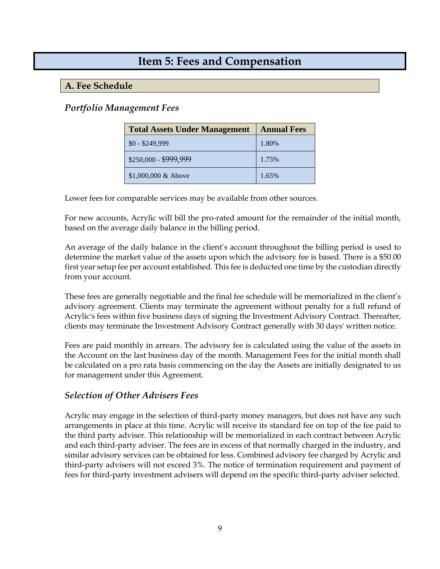# <span id="page-8-0"></span>**Item 5: Fees and Compensation**

## <span id="page-8-1"></span>**A. Fee Schedule**

## *Portfolio Management Fees*

| <b>Total Assets Under Management</b> | <b>Annual Fees</b> |
|--------------------------------------|--------------------|
| $$0 - $249,999$                      | 1.80%              |
| \$250,000 - \$999,999                | 1.75%              |
| \$1,000,000 & Above                  | 1.65%              |

Lower fees for comparable services may be available from other sources.

For new accounts, Acrylic will bill the pro-rated amount for the remainder of the initial month, based on the average daily balance in the billing period.

An average of the daily balance in the client's account throughout the billing period is used to determine the market value of the assets upon which the advisory fee is based. There is a \$50.00 first year setup fee per account established. This fee is deducted one time by the custodian directly from your account.

These fees are generally negotiable and the final fee schedule will be memorialized in the client's advisory agreement. Clients may terminate the agreement without penalty for a full refund of Acrylic's fees within five business days of signing the Investment Advisory Contract. Thereafter, clients may terminate the Investment Advisory Contract generally with 30 days' written notice.

Fees are paid monthly in arrears. The advisory fee is calculated using the value of the assets in the Account on the last business day of the month. Management Fees for the initial month shall be calculated on a pro rata basis commencing on the day the Assets are initially designated to us for management under this Agreement.

### *Selection of Other Advisers Fees*

Acrylic may engage in the selection of third-party money managers, but does not have any such arrangements in place at this time. Acrylic will receive its standard fee on top of the fee paid to the third party adviser. This relationship will be memorialized in each contract between Acrylic and each third-party adviser. The fees are in excess of that normally charged in the industry, and similar advisory services can be obtained for less. Combined advisory fee charged by Acrylic and third-party advisers will not exceed 3%. The notice of termination requirement and payment of fees for third-party investment advisers will depend on the specific third-party adviser selected.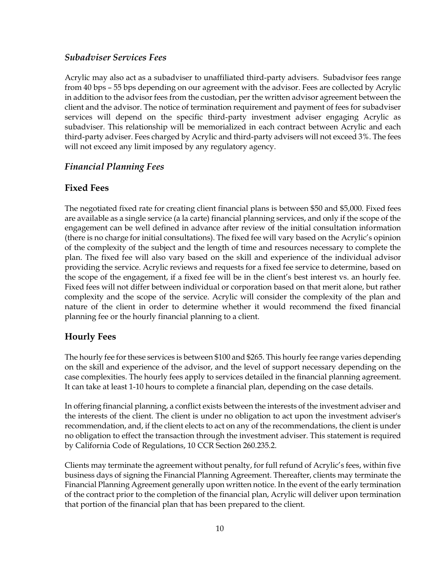### *Subadviser Services Fees*

Acrylic may also act as a subadviser to unaffiliated third-party advisers. Subadvisor fees range from 40 bps – 55 bps depending on our agreement with the advisor. Fees are collected by Acrylic in addition to the advisor fees from the custodian, per the written advisor agreement between the client and the advisor. The notice of termination requirement and payment of fees for subadviser services will depend on the specific third-party investment adviser engaging Acrylic as subadviser. This relationship will be memorialized in each contract between Acrylic and each third-party adviser. Fees charged by Acrylic and third-party advisers will not exceed 3%. The fees will not exceed any limit imposed by any regulatory agency.

# *Financial Planning Fees*

# **Fixed Fees**

The negotiated fixed rate for creating client financial plans is between \$50 and \$5,000. Fixed fees are available as a single service (a la carte) financial planning services, and only if the scope of the engagement can be well defined in advance after review of the initial consultation information (there is no charge for initial consultations). The fixed fee will vary based on the Acrylic's opinion of the complexity of the subject and the length of time and resources necessary to complete the plan. The fixed fee will also vary based on the skill and experience of the individual advisor providing the service. Acrylic reviews and requests for a fixed fee service to determine, based on the scope of the engagement, if a fixed fee will be in the client's best interest vs. an hourly fee. Fixed fees will not differ between individual or corporation based on that merit alone, but rather complexity and the scope of the service. Acrylic will consider the complexity of the plan and nature of the client in order to determine whether it would recommend the fixed financial planning fee or the hourly financial planning to a client.

# **Hourly Fees**

The hourly fee for these services is between \$100 and \$265. This hourly fee range varies depending on the skill and experience of the advisor, and the level of support necessary depending on the case complexities. The hourly fees apply to services detailed in the financial planning agreement. It can take at least 1-10 hours to complete a financial plan, depending on the case details.

In offering financial planning, a conflict exists between the interests of the investment adviser and the interests of the client. The client is under no obligation to act upon the investment adviser's recommendation, and, if the client elects to act on any of the recommendations, the client is under no obligation to effect the transaction through the investment adviser. This statement is required by California Code of Regulations, 10 CCR Section 260.235.2.

Clients may terminate the agreement without penalty, for full refund of Acrylic's fees, within five business days of signing the Financial Planning Agreement. Thereafter, clients may terminate the Financial Planning Agreement generally upon written notice. In the event of the early termination of the contract prior to the completion of the financial plan, Acrylic will deliver upon termination that portion of the financial plan that has been prepared to the client.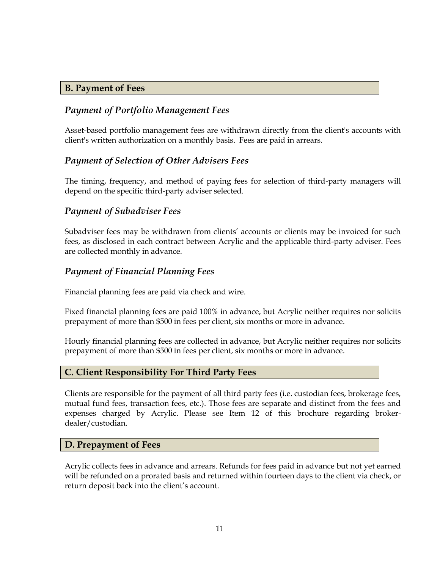#### <span id="page-10-0"></span>**B. Payment of Fees**

# *Payment of Portfolio Management Fees*

Asset-based portfolio management fees are withdrawn directly from the client's accounts with client's written authorization on a monthly basis. Fees are paid in arrears.

### *Payment of Selection of Other Advisers Fees*

The timing, frequency, and method of paying fees for selection of third-party managers will depend on the specific third-party adviser selected.

### *Payment of Subadviser Fees*

Subadviser fees may be withdrawn from clients' accounts or clients may be invoiced for such fees, as disclosed in each contract between Acrylic and the applicable third-party adviser. Fees are collected monthly in advance.

### *Payment of Financial Planning Fees*

Financial planning fees are paid via check and wire.

Fixed financial planning fees are paid 100% in advance, but Acrylic neither requires nor solicits prepayment of more than \$500 in fees per client, six months or more in advance.

Hourly financial planning fees are collected in advance, but Acrylic neither requires nor solicits prepayment of more than \$500 in fees per client, six months or more in advance.

#### <span id="page-10-1"></span>**C. Client Responsibility For Third Party Fees**

Clients are responsible for the payment of all third party fees (i.e. custodian fees, brokerage fees, mutual fund fees, transaction fees, etc.). Those fees are separate and distinct from the fees and expenses charged by Acrylic. Please see Item 12 of this brochure regarding brokerdealer/custodian.

#### <span id="page-10-2"></span>**D. Prepayment of Fees**

Acrylic collects fees in advance and arrears. Refunds for fees paid in advance but not yet earned will be refunded on a prorated basis and returned within fourteen days to the client via check, or return deposit back into the client's account.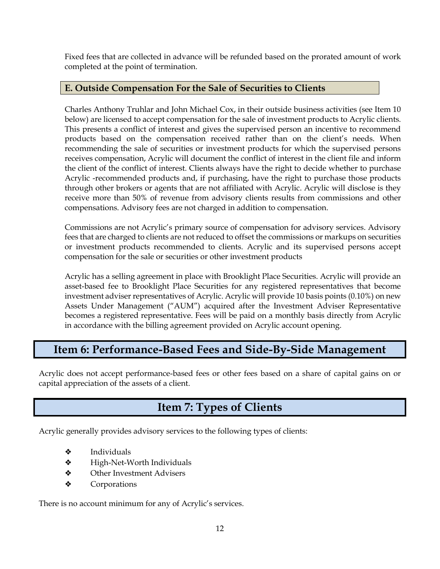Fixed fees that are collected in advance will be refunded based on the prorated amount of work completed at the point of termination.

# <span id="page-11-0"></span>**E. Outside Compensation For the Sale of Securities to Clients**

Charles Anthony Truhlar and John Michael Cox, in their outside business activities (see Item 10 below) are licensed to accept compensation for the sale of investment products to Acrylic clients. This presents a conflict of interest and gives the supervised person an incentive to recommend products based on the compensation received rather than on the client's needs. When recommending the sale of securities or investment products for which the supervised persons receives compensation, Acrylic will document the conflict of interest in the client file and inform the client of the conflict of interest. Clients always have the right to decide whether to purchase Acrylic -recommended products and, if purchasing, have the right to purchase those products through other brokers or agents that are not affiliated with Acrylic. Acrylic will disclose is they receive more than 50% of revenue from advisory clients results from commissions and other compensations. Advisory fees are not charged in addition to compensation.

Commissions are not Acrylic's primary source of compensation for advisory services. Advisory fees that are charged to clients are not reduced to offset the commissions or markups on securities or investment products recommended to clients. Acrylic and its supervised persons accept compensation for the sale or securities or other investment products

Acrylic has a selling agreement in place with Brooklight Place Securities. Acrylic will provide an asset-based fee to Brooklight Place Securities for any registered representatives that become investment adviser representatives of Acrylic. Acrylic will provide 10 basis points (0.10%) on new Assets Under Management ("AUM") acquired after the Investment Adviser Representative becomes a registered representative. Fees will be paid on a monthly basis directly from Acrylic in accordance with the billing agreement provided on Acrylic account opening.

# <span id="page-11-1"></span>**Item 6: Performance-Based Fees and Side-By-Side Management**

Acrylic does not accept performance-based fees or other fees based on a share of capital gains on or capital appreciation of the assets of a client.

# **Item 7: Types of Clients**

<span id="page-11-2"></span>Acrylic generally provides advisory services to the following types of clients:

- ❖ Individuals
- ❖ High-Net-Worth Individuals
- ❖ Other Investment Advisers
- ❖ Corporations

There is no account minimum for any of Acrylic's services.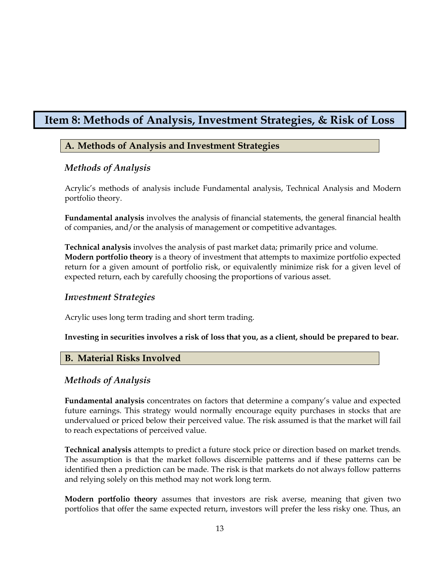# <span id="page-12-1"></span><span id="page-12-0"></span>**Item 8: Methods of Analysis, Investment Strategies, & Risk of Loss**

# **A. Methods of Analysis and Investment Strategies**

#### *Methods of Analysis*

Acrylic's methods of analysis include Fundamental analysis, Technical Analysis and Modern portfolio theory.

**Fundamental analysis** involves the analysis of financial statements, the general financial health of companies, and/or the analysis of management or competitive advantages.

**Technical analysis** involves the analysis of past market data; primarily price and volume. **Modern portfolio theory** is a theory of investment that attempts to maximize portfolio expected return for a given amount of portfolio risk, or equivalently minimize risk for a given level of expected return, each by carefully choosing the proportions of various asset.

#### *Investment Strategies*

Acrylic uses long term trading and short term trading.

#### **Investing in securities involves a risk of loss that you, as a client, should be prepared to bear.**

#### <span id="page-12-2"></span>**B. Material Risks Involved**

#### *Methods of Analysis*

**Fundamental analysis** concentrates on factors that determine a company's value and expected future earnings. This strategy would normally encourage equity purchases in stocks that are undervalued or priced below their perceived value. The risk assumed is that the market will fail to reach expectations of perceived value.

**Technical analysis** attempts to predict a future stock price or direction based on market trends. The assumption is that the market follows discernible patterns and if these patterns can be identified then a prediction can be made. The risk is that markets do not always follow patterns and relying solely on this method may not work long term.

**Modern portfolio theory** assumes that investors are risk averse, meaning that given two portfolios that offer the same expected return, investors will prefer the less risky one. Thus, an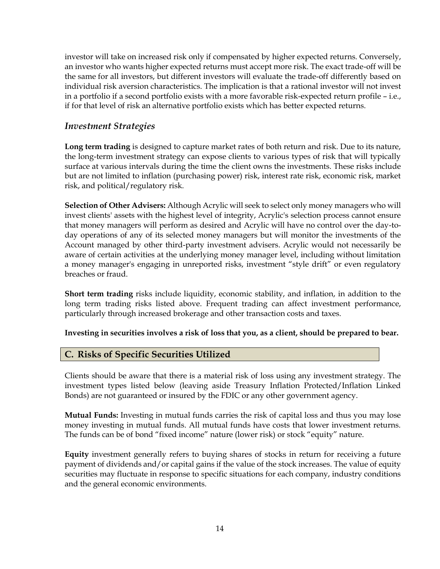investor will take on increased risk only if compensated by higher expected returns. Conversely, an investor who wants higher expected returns must accept more risk. The exact trade-off will be the same for all investors, but different investors will evaluate the trade-off differently based on individual risk aversion characteristics. The implication is that a rational investor will not invest in a portfolio if a second portfolio exists with a more favorable risk-expected return profile – i.e., if for that level of risk an alternative portfolio exists which has better expected returns.

### *Investment Strategies*

**Long term trading** is designed to capture market rates of both return and risk. Due to its nature, the long-term investment strategy can expose clients to various types of risk that will typically surface at various intervals during the time the client owns the investments. These risks include but are not limited to inflation (purchasing power) risk, interest rate risk, economic risk, market risk, and political/regulatory risk.

**Selection of Other Advisers:** Although Acrylic will seek to select only money managers who will invest clients' assets with the highest level of integrity, Acrylic's selection process cannot ensure that money managers will perform as desired and Acrylic will have no control over the day-today operations of any of its selected money managers but will monitor the investments of the Account managed by other third-party investment advisers. Acrylic would not necessarily be aware of certain activities at the underlying money manager level, including without limitation a money manager's engaging in unreported risks, investment "style drift" or even regulatory breaches or fraud.

**Short term trading** risks include liquidity, economic stability, and inflation, in addition to the long term trading risks listed above. Frequent trading can affect investment performance, particularly through increased brokerage and other transaction costs and taxes.

#### **Investing in securities involves a risk of loss that you, as a client, should be prepared to bear.**

#### <span id="page-13-0"></span>**C. Risks of Specific Securities Utilized**

Clients should be aware that there is a material risk of loss using any investment strategy. The investment types listed below (leaving aside Treasury Inflation Protected/Inflation Linked Bonds) are not guaranteed or insured by the FDIC or any other government agency.

**Mutual Funds:** Investing in mutual funds carries the risk of capital loss and thus you may lose money investing in mutual funds. All mutual funds have costs that lower investment returns. The funds can be of bond "fixed income" nature (lower risk) or stock "equity" nature.

**Equity** investment generally refers to buying shares of stocks in return for receiving a future payment of dividends and/or capital gains if the value of the stock increases. The value of equity securities may fluctuate in response to specific situations for each company, industry conditions and the general economic environments.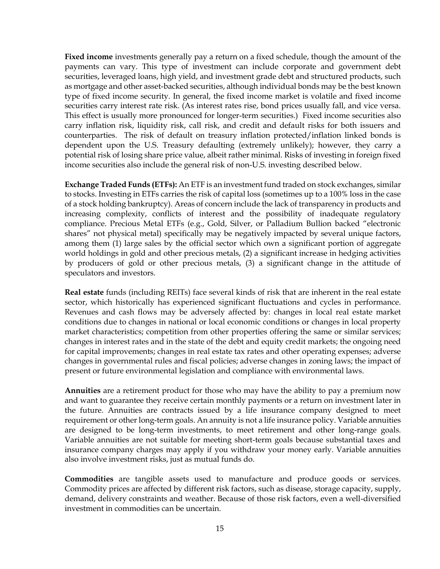**Fixed income** investments generally pay a return on a fixed schedule, though the amount of the payments can vary. This type of investment can include corporate and government debt securities, leveraged loans, high yield, and investment grade debt and structured products, such as mortgage and other asset-backed securities, although individual bonds may be the best known type of fixed income security. In general, the fixed income market is volatile and fixed income securities carry interest rate risk. (As interest rates rise, bond prices usually fall, and vice versa. This effect is usually more pronounced for longer-term securities.) Fixed income securities also carry inflation risk, liquidity risk, call risk, and credit and default risks for both issuers and counterparties. The risk of default on treasury inflation protected/inflation linked bonds is dependent upon the U.S. Treasury defaulting (extremely unlikely); however, they carry a potential risk of losing share price value, albeit rather minimal. Risks of investing in foreign fixed income securities also include the general risk of non-U.S. investing described below.

**Exchange Traded Funds (ETFs):** An ETF is an investment fund traded on stock exchanges, similar to stocks. Investing in ETFs carries the risk of capital loss (sometimes up to a 100% loss in the case of a stock holding bankruptcy). Areas of concern include the lack of transparency in products and increasing complexity, conflicts of interest and the possibility of inadequate regulatory compliance. Precious Metal ETFs (e.g., Gold, Silver, or Palladium Bullion backed "electronic shares" not physical metal) specifically may be negatively impacted by several unique factors, among them (1) large sales by the official sector which own a significant portion of aggregate world holdings in gold and other precious metals, (2) a significant increase in hedging activities by producers of gold or other precious metals, (3) a significant change in the attitude of speculators and investors.

**Real estate** funds (including REITs) face several kinds of risk that are inherent in the real estate sector, which historically has experienced significant fluctuations and cycles in performance. Revenues and cash flows may be adversely affected by: changes in local real estate market conditions due to changes in national or local economic conditions or changes in local property market characteristics; competition from other properties offering the same or similar services; changes in interest rates and in the state of the debt and equity credit markets; the ongoing need for capital improvements; changes in real estate tax rates and other operating expenses; adverse changes in governmental rules and fiscal policies; adverse changes in zoning laws; the impact of present or future environmental legislation and compliance with environmental laws.

**Annuities** are a retirement product for those who may have the ability to pay a premium now and want to guarantee they receive certain monthly payments or a return on investment later in the future. Annuities are contracts issued by a life insurance company designed to meet requirement or other long-term goals. An annuity is not a life insurance policy. Variable annuities are designed to be long-term investments, to meet retirement and other long-range goals. Variable annuities are not suitable for meeting short-term goals because substantial taxes and insurance company charges may apply if you withdraw your money early. Variable annuities also involve investment risks, just as mutual funds do.

**Commodities** are tangible assets used to manufacture and produce goods or services. Commodity prices are affected by different risk factors, such as disease, storage capacity, supply, demand, delivery constraints and weather. Because of those risk factors, even a well-diversified investment in commodities can be uncertain.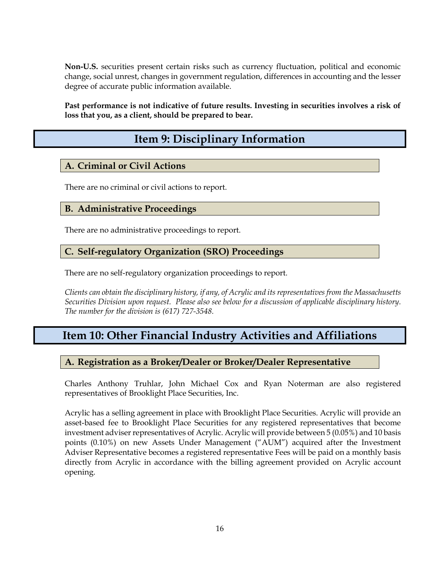**Non-U.S.** securities present certain risks such as currency fluctuation, political and economic change, social unrest, changes in government regulation, differences in accounting and the lesser degree of accurate public information available.

<span id="page-15-0"></span>**Past performance is not indicative of future results. Investing in securities involves a risk of loss that you, as a client, should be prepared to bear.**

# **Item 9: Disciplinary Information**

# <span id="page-15-1"></span>**A. Criminal or Civil Actions**

There are no criminal or civil actions to report.

#### <span id="page-15-2"></span>**B. Administrative Proceedings**

There are no administrative proceedings to report.

### <span id="page-15-3"></span>**C. Self-regulatory Organization (SRO) Proceedings**

There are no self-regulatory organization proceedings to report.

*Clients can obtain the disciplinary history, if any, of Acrylic and its representatives from the Massachusetts Securities Division upon request. Please also see below for a discussion of applicable disciplinary history. The number for the division is (617) 727-3548.* 

# <span id="page-15-4"></span>**Item 10: Other Financial Industry Activities and Affiliations**

### <span id="page-15-5"></span>**A. Registration as a Broker/Dealer or Broker/Dealer Representative**

Charles Anthony Truhlar, John Michael Cox and Ryan Noterman are also registered representatives of Brooklight Place Securities, Inc.

Acrylic has a selling agreement in place with Brooklight Place Securities. Acrylic will provide an asset-based fee to Brooklight Place Securities for any registered representatives that become investment adviser representatives of Acrylic. Acrylic will provide between 5 (0.05%) and 10 basis points (0.10%) on new Assets Under Management ("AUM") acquired after the Investment Adviser Representative becomes a registered representative Fees will be paid on a monthly basis directly from Acrylic in accordance with the billing agreement provided on Acrylic account opening.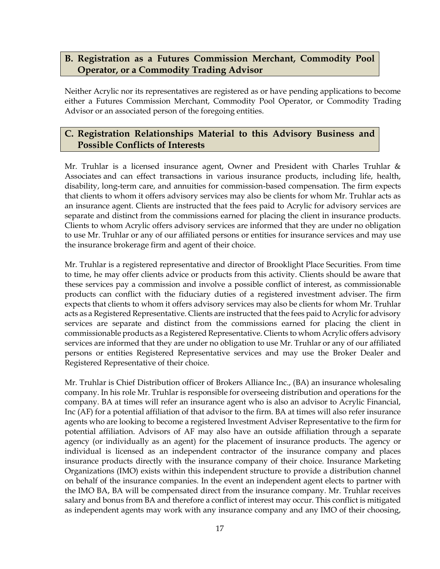# <span id="page-16-0"></span>**B. Registration as a Futures Commission Merchant, Commodity Pool Operator, or a Commodity Trading Advisor**

Neither Acrylic nor its representatives are registered as or have pending applications to become either a Futures Commission Merchant, Commodity Pool Operator, or Commodity Trading Advisor or an associated person of the foregoing entities.

### <span id="page-16-1"></span>**C. Registration Relationships Material to this Advisory Business and Possible Conflicts of Interests**

Mr. Truhlar is a licensed insurance agent, Owner and President with Charles Truhlar & Associates and can effect transactions in various insurance products, including life, health, disability, long-term care, and annuities for commission-based compensation. The firm expects that clients to whom it offers advisory services may also be clients for whom Mr. Truhlar acts as an insurance agent. Clients are instructed that the fees paid to Acrylic for advisory services are separate and distinct from the commissions earned for placing the client in insurance products. Clients to whom Acrylic offers advisory services are informed that they are under no obligation to use Mr. Truhlar or any of our affiliated persons or entities for insurance services and may use the insurance brokerage firm and agent of their choice.

Mr. Truhlar is a registered representative and director of Brooklight Place Securities. From time to time, he may offer clients advice or products from this activity. Clients should be aware that these services pay a commission and involve a possible conflict of interest, as commissionable products can conflict with the fiduciary duties of a registered investment adviser. The firm expects that clients to whom it offers advisory services may also be clients for whom Mr. Truhlar acts as a Registered Representative. Clients are instructed that the fees paid to Acrylic for advisory services are separate and distinct from the commissions earned for placing the client in commissionable products as a Registered Representative. Clients to whom Acrylic offers advisory services are informed that they are under no obligation to use Mr. Truhlar or any of our affiliated persons or entities Registered Representative services and may use the Broker Dealer and Registered Representative of their choice.

Mr. Truhlar is Chief Distribution officer of Brokers Alliance Inc., (BA) an insurance wholesaling company. In his role Mr. Truhlar is responsible for overseeing distribution and operations for the company. BA at times will refer an insurance agent who is also an advisor to Acrylic Financial, Inc (AF) for a potential affiliation of that advisor to the firm. BA at times will also refer insurance agents who are looking to become a registered Investment Adviser Representative to the firm for potential affiliation. Advisors of AF may also have an outside affiliation through a separate agency (or individually as an agent) for the placement of insurance products. The agency or individual is licensed as an independent contractor of the insurance company and places insurance products directly with the insurance company of their choice. Insurance Marketing Organizations (IMO) exists within this independent structure to provide a distribution channel on behalf of the insurance companies. In the event an independent agent elects to partner with the IMO BA, BA will be compensated direct from the insurance company. Mr. Truhlar receives salary and bonus from BA and therefore a conflict of interest may occur. This conflict is mitigated as independent agents may work with any insurance company and any IMO of their choosing,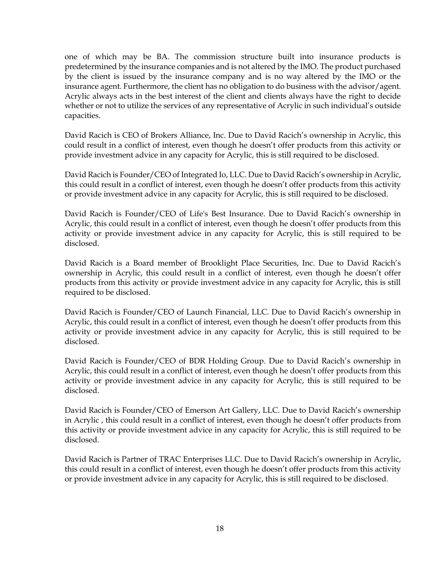one of which may be BA. The commission structure built into insurance products is predetermined by the insurance companies and is not altered by the IMO. The product purchased by the client is issued by the insurance company and is no way altered by the IMO or the insurance agent. Furthermore, the client has no obligation to do business with the advisor/agent. Acrylic always acts in the best interest of the client and clients always have the right to decide whether or not to utilize the services of any representative of Acrylic in such individual's outside capacities.

David Racich is CEO of Brokers Alliance, Inc. Due to David Racich's ownership in Acrylic, this could result in a conflict of interest, even though he doesn't offer products from this activity or provide investment advice in any capacity for Acrylic, this is still required to be disclosed.

David Racich is Founder/CEO of Integrated Io, LLC. Due to David Racich's ownership in Acrylic, this could result in a conflict of interest, even though he doesn't offer products from this activity or provide investment advice in any capacity for Acrylic, this is still required to be disclosed.

David Racich is Founder/CEO of Life's Best Insurance. Due to David Racich's ownership in Acrylic, this could result in a conflict of interest, even though he doesn't offer products from this activity or provide investment advice in any capacity for Acrylic, this is still required to be disclosed.

David Racich is a Board member of Brooklight Place Securities, Inc. Due to David Racich's ownership in Acrylic, this could result in a conflict of interest, even though he doesn't offer products from this activity or provide investment advice in any capacity for Acrylic, this is still required to be disclosed.

David Racich is Founder/CEO of Launch Financial, LLC. Due to David Racich's ownership in Acrylic, this could result in a conflict of interest, even though he doesn't offer products from this activity or provide investment advice in any capacity for Acrylic, this is still required to be disclosed.

David Racich is Founder/CEO of BDR Holding Group. Due to David Racich's ownership in Acrylic, this could result in a conflict of interest, even though he doesn't offer products from this activity or provide investment advice in any capacity for Acrylic, this is still required to be disclosed.

David Racich is Founder/CEO of Emerson Art Gallery, LLC. Due to David Racich's ownership in Acrylic , this could result in a conflict of interest, even though he doesn't offer products from this activity or provide investment advice in any capacity for Acrylic, this is still required to be disclosed.

David Racich is Partner of TRAC Enterprises LLC. Due to David Racich's ownership in Acrylic, this could result in a conflict of interest, even though he doesn't offer products from this activity or provide investment advice in any capacity for Acrylic, this is still required to be disclosed.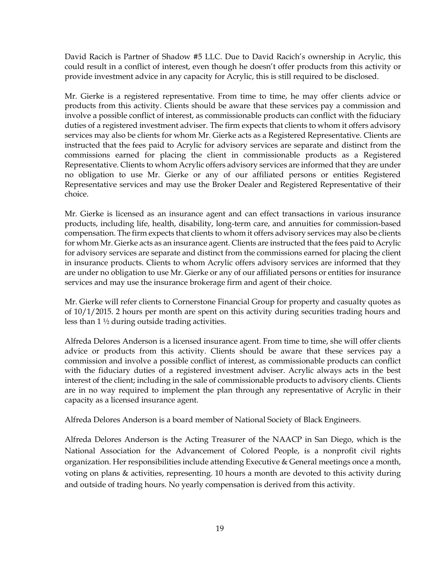David Racich is Partner of Shadow #5 LLC. Due to David Racich's ownership in Acrylic, this could result in a conflict of interest, even though he doesn't offer products from this activity or provide investment advice in any capacity for Acrylic, this is still required to be disclosed.

Mr. Gierke is a registered representative. From time to time, he may offer clients advice or products from this activity. Clients should be aware that these services pay a commission and involve a possible conflict of interest, as commissionable products can conflict with the fiduciary duties of a registered investment adviser. The firm expects that clients to whom it offers advisory services may also be clients for whom Mr. Gierke acts as a Registered Representative. Clients are instructed that the fees paid to Acrylic for advisory services are separate and distinct from the commissions earned for placing the client in commissionable products as a Registered Representative. Clients to whom Acrylic offers advisory services are informed that they are under no obligation to use Mr. Gierke or any of our affiliated persons or entities Registered Representative services and may use the Broker Dealer and Registered Representative of their choice.

Mr. Gierke is licensed as an insurance agent and can effect transactions in various insurance products, including life, health, disability, long-term care, and annuities for commission-based compensation. The firm expects that clients to whom it offers advisory services may also be clients for whom Mr. Gierke acts as an insurance agent. Clients are instructed that the fees paid to Acrylic for advisory services are separate and distinct from the commissions earned for placing the client in insurance products. Clients to whom Acrylic offers advisory services are informed that they are under no obligation to use Mr. Gierke or any of our affiliated persons or entities for insurance services and may use the insurance brokerage firm and agent of their choice.

Mr. Gierke will refer clients to Cornerstone Financial Group for property and casualty quotes as of 10/1/2015. 2 hours per month are spent on this activity during securities trading hours and less than 1 ½ during outside trading activities.

Alfreda Delores Anderson is a licensed insurance agent. From time to time, she will offer clients advice or products from this activity. Clients should be aware that these services pay a commission and involve a possible conflict of interest, as commissionable products can conflict with the fiduciary duties of a registered investment adviser. Acrylic always acts in the best interest of the client; including in the sale of commissionable products to advisory clients. Clients are in no way required to implement the plan through any representative of Acrylic in their capacity as a licensed insurance agent.

Alfreda Delores Anderson is a board member of National Society of Black Engineers.

Alfreda Delores Anderson is the Acting Treasurer of the NAACP in San Diego, which is the National Association for the Advancement of Colored People, is a nonprofit civil rights organization. Her responsibilities include attending Executive & General meetings once a month, voting on plans & activities, representing. 10 hours a month are devoted to this activity during and outside of trading hours. No yearly compensation is derived from this activity.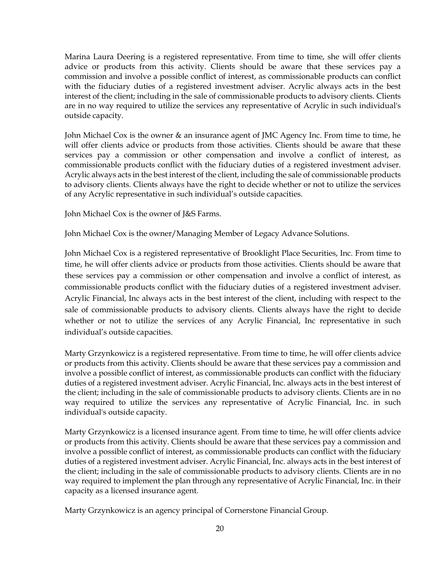Marina Laura Deering is a registered representative. From time to time, she will offer clients advice or products from this activity. Clients should be aware that these services pay a commission and involve a possible conflict of interest, as commissionable products can conflict with the fiduciary duties of a registered investment adviser. Acrylic always acts in the best interest of the client; including in the sale of commissionable products to advisory clients. Clients are in no way required to utilize the services any representative of Acrylic in such individual's outside capacity.

John Michael Cox is the owner & an insurance agent of JMC Agency Inc. From time to time, he will offer clients advice or products from those activities. Clients should be aware that these services pay a commission or other compensation and involve a conflict of interest, as commissionable products conflict with the fiduciary duties of a registered investment adviser. Acrylic always acts in the best interest of the client, including the sale of commissionable products to advisory clients. Clients always have the right to decide whether or not to utilize the services of any Acrylic representative in such individual's outside capacities.

John Michael Cox is the owner of J&S Farms.

John Michael Cox is the owner/Managing Member of Legacy Advance Solutions.

John Michael Cox is a registered representative of Brooklight Place Securities, Inc. From time to time, he will offer clients advice or products from those activities. Clients should be aware that these services pay a commission or other compensation and involve a conflict of interest, as commissionable products conflict with the fiduciary duties of a registered investment adviser. Acrylic Financial, Inc always acts in the best interest of the client, including with respect to the sale of commissionable products to advisory clients. Clients always have the right to decide whether or not to utilize the services of any Acrylic Financial, Inc representative in such individual's outside capacities.

Marty Grzynkowicz is a registered representative. From time to time, he will offer clients advice or products from this activity. Clients should be aware that these services pay a commission and involve a possible conflict of interest, as commissionable products can conflict with the fiduciary duties of a registered investment adviser. Acrylic Financial, Inc. always acts in the best interest of the client; including in the sale of commissionable products to advisory clients. Clients are in no way required to utilize the services any representative of Acrylic Financial, Inc. in such individual's outside capacity.

Marty Grzynkowicz is a licensed insurance agent. From time to time, he will offer clients advice or products from this activity. Clients should be aware that these services pay a commission and involve a possible conflict of interest, as commissionable products can conflict with the fiduciary duties of a registered investment adviser. Acrylic Financial, Inc. always acts in the best interest of the client; including in the sale of commissionable products to advisory clients. Clients are in no way required to implement the plan through any representative of Acrylic Financial, Inc. in their capacity as a licensed insurance agent.

Marty Grzynkowicz is an agency principal of Cornerstone Financial Group.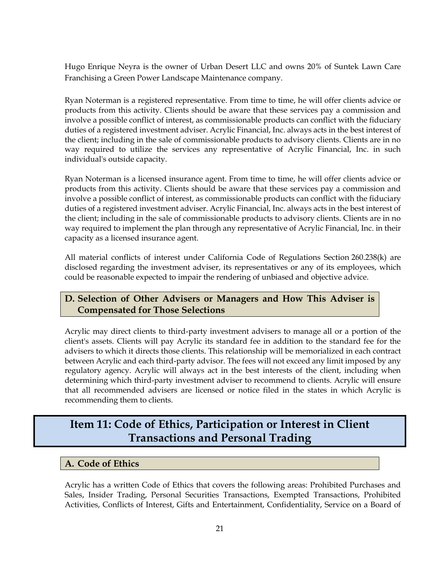Hugo Enrique Neyra is the owner of Urban Desert LLC and owns 20% of Suntek Lawn Care Franchising a Green Power Landscape Maintenance company.

Ryan Noterman is a registered representative. From time to time, he will offer clients advice or products from this activity. Clients should be aware that these services pay a commission and involve a possible conflict of interest, as commissionable products can conflict with the fiduciary duties of a registered investment adviser. Acrylic Financial, Inc. always acts in the best interest of the client; including in the sale of commissionable products to advisory clients. Clients are in no way required to utilize the services any representative of Acrylic Financial, Inc. in such individual's outside capacity.

Ryan Noterman is a licensed insurance agent. From time to time, he will offer clients advice or products from this activity. Clients should be aware that these services pay a commission and involve a possible conflict of interest, as commissionable products can conflict with the fiduciary duties of a registered investment adviser. Acrylic Financial, Inc. always acts in the best interest of the client; including in the sale of commissionable products to advisory clients. Clients are in no way required to implement the plan through any representative of Acrylic Financial, Inc. in their capacity as a licensed insurance agent.

All material conflicts of interest under California Code of Regulations Section 260.238(k) are disclosed regarding the investment adviser, its representatives or any of its employees, which could be reasonable expected to impair the rendering of unbiased and objective advice.

### <span id="page-20-0"></span>**D. Selection of Other Advisers or Managers and How This Adviser is Compensated for Those Selections**

Acrylic may direct clients to third-party investment advisers to manage all or a portion of the client's assets. Clients will pay Acrylic its standard fee in addition to the standard fee for the advisers to which it directs those clients. This relationship will be memorialized in each contract between Acrylic and each third-party advisor. The fees will not exceed any limit imposed by any regulatory agency. Acrylic will always act in the best interests of the client, including when determining which third-party investment adviser to recommend to clients. Acrylic will ensure that all recommended advisers are licensed or notice filed in the states in which Acrylic is recommending them to clients.

# <span id="page-20-1"></span>**Item 11: Code of Ethics, Participation or Interest in Client Transactions and Personal Trading**

### <span id="page-20-2"></span>**A. Code of Ethics**

Acrylic has a written Code of Ethics that covers the following areas: Prohibited Purchases and Sales, Insider Trading, Personal Securities Transactions, Exempted Transactions, Prohibited Activities, Conflicts of Interest, Gifts and Entertainment, Confidentiality, Service on a Board of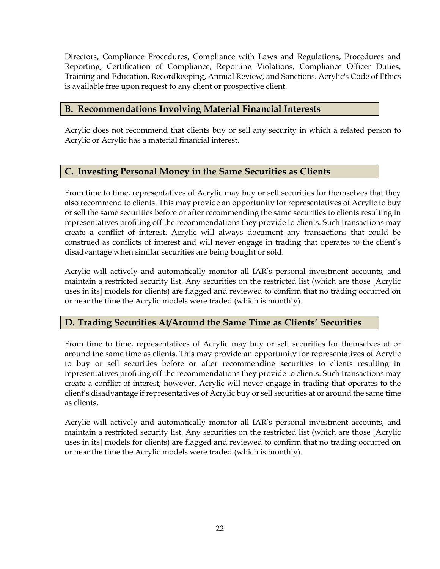Directors, Compliance Procedures, Compliance with Laws and Regulations, Procedures and Reporting, Certification of Compliance, Reporting Violations, Compliance Officer Duties, Training and Education, Recordkeeping, Annual Review, and Sanctions. Acrylic's Code of Ethics is available free upon request to any client or prospective client.

### <span id="page-21-0"></span>**B. Recommendations Involving Material Financial Interests**

Acrylic does not recommend that clients buy or sell any security in which a related person to Acrylic or Acrylic has a material financial interest.

# <span id="page-21-1"></span>**C. Investing Personal Money in the Same Securities as Clients**

From time to time, representatives of Acrylic may buy or sell securities for themselves that they also recommend to clients. This may provide an opportunity for representatives of Acrylic to buy or sell the same securities before or after recommending the same securities to clients resulting in representatives profiting off the recommendations they provide to clients. Such transactions may create a conflict of interest. Acrylic will always document any transactions that could be construed as conflicts of interest and will never engage in trading that operates to the client's disadvantage when similar securities are being bought or sold.

Acrylic will actively and automatically monitor all IAR's personal investment accounts, and maintain a restricted security list. Any securities on the restricted list (which are those [Acrylic uses in its] models for clients) are flagged and reviewed to confirm that no trading occurred on or near the time the Acrylic models were traded (which is monthly).

# <span id="page-21-2"></span>**D. Trading Securities At/Around the Same Time as Clients' Securities**

From time to time, representatives of Acrylic may buy or sell securities for themselves at or around the same time as clients. This may provide an opportunity for representatives of Acrylic to buy or sell securities before or after recommending securities to clients resulting in representatives profiting off the recommendations they provide to clients. Such transactions may create a conflict of interest; however, Acrylic will never engage in trading that operates to the client's disadvantage if representatives of Acrylic buy or sell securities at or around the same time as clients.

Acrylic will actively and automatically monitor all IAR's personal investment accounts, and maintain a restricted security list. Any securities on the restricted list (which are those [Acrylic uses in its] models for clients) are flagged and reviewed to confirm that no trading occurred on or near the time the Acrylic models were traded (which is monthly).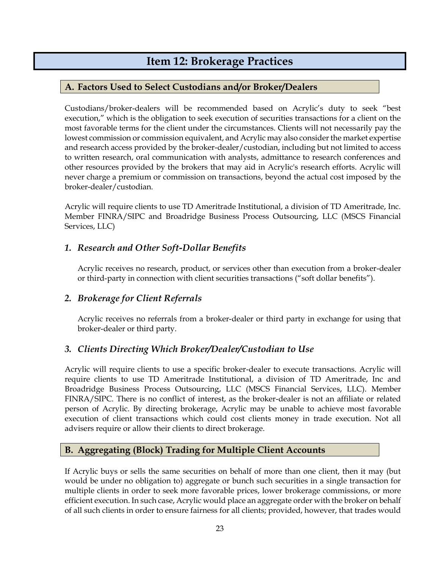# **Item 12: Brokerage Practices**

### <span id="page-22-1"></span><span id="page-22-0"></span>**A. Factors Used to Select Custodians and/or Broker/Dealers**

Custodians/broker-dealers will be recommended based on Acrylic's duty to seek "best execution," which is the obligation to seek execution of securities transactions for a client on the most favorable terms for the client under the circumstances. Clients will not necessarily pay the lowest commission or commission equivalent, and Acrylic may also consider the market expertise and research access provided by the broker-dealer/custodian, including but not limited to access to written research, oral communication with analysts, admittance to research conferences and other resources provided by the brokers that may aid in Acrylic's research efforts. Acrylic will never charge a premium or commission on transactions, beyond the actual cost imposed by the broker-dealer/custodian.

Acrylic will require clients to use TD Ameritrade Institutional, a division of TD Ameritrade, Inc. Member FINRA/SIPC and Broadridge Business Process Outsourcing, LLC (MSCS Financial Services, LLC)

# <span id="page-22-2"></span>*1. Research and Other Soft-Dollar Benefits*

Acrylic receives no research, product, or services other than execution from a broker-dealer or third-party in connection with client securities transactions ("soft dollar benefits").

### <span id="page-22-3"></span>*2. Brokerage for Client Referrals*

Acrylic receives no referrals from a broker-dealer or third party in exchange for using that broker-dealer or third party.

### <span id="page-22-4"></span>*3. Clients Directing Which Broker/Dealer/Custodian to Use*

Acrylic will require clients to use a specific broker-dealer to execute transactions. Acrylic will require clients to use TD Ameritrade Institutional, a division of TD Ameritrade, Inc and Broadridge Business Process Outsourcing, LLC (MSCS Financial Services, LLC). Member FINRA/SIPC. There is no conflict of interest, as the broker-dealer is not an affiliate or related person of Acrylic. By directing brokerage, Acrylic may be unable to achieve most favorable execution of client transactions which could cost clients money in trade execution. Not all advisers require or allow their clients to direct brokerage.

### <span id="page-22-5"></span>**B. Aggregating (Block) Trading for Multiple Client Accounts**

If Acrylic buys or sells the same securities on behalf of more than one client, then it may (but would be under no obligation to) aggregate or bunch such securities in a single transaction for multiple clients in order to seek more favorable prices, lower brokerage commissions, or more efficient execution. In such case, Acrylic would place an aggregate order with the broker on behalf of all such clients in order to ensure fairness for all clients; provided, however, that trades would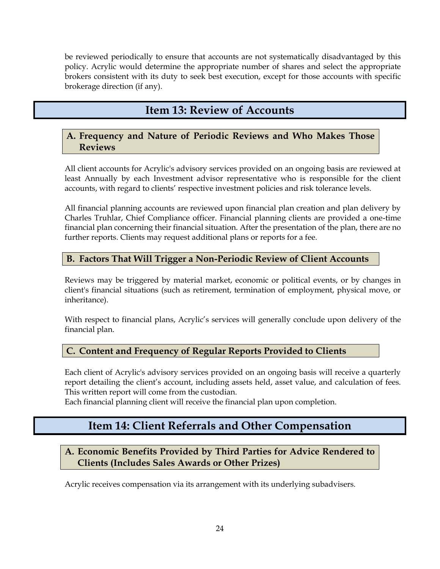be reviewed periodically to ensure that accounts are not systematically disadvantaged by this policy. Acrylic would determine the appropriate number of shares and select the appropriate brokers consistent with its duty to seek best execution, except for those accounts with specific brokerage direction (if any).

# **Item 13: Review of Accounts**

## <span id="page-23-1"></span><span id="page-23-0"></span>**A. Frequency and Nature of Periodic Reviews and Who Makes Those Reviews**

All client accounts for Acrylic's advisory services provided on an ongoing basis are reviewed at least Annually by each Investment advisor representative who is responsible for the client accounts, with regard to clients' respective investment policies and risk tolerance levels.

All financial planning accounts are reviewed upon financial plan creation and plan delivery by Charles Truhlar, Chief Compliance officer. Financial planning clients are provided a one-time financial plan concerning their financial situation. After the presentation of the plan, there are no further reports. Clients may request additional plans or reports for a fee.

# <span id="page-23-2"></span>**B. Factors That Will Trigger a Non-Periodic Review of Client Accounts**

Reviews may be triggered by material market, economic or political events, or by changes in client's financial situations (such as retirement, termination of employment, physical move, or inheritance).

With respect to financial plans, Acrylic's services will generally conclude upon delivery of the financial plan.

# <span id="page-23-3"></span>**C. Content and Frequency of Regular Reports Provided to Clients**

Each client of Acrylic's advisory services provided on an ongoing basis will receive a quarterly report detailing the client's account, including assets held, asset value, and calculation of fees. This written report will come from the custodian.

<span id="page-23-4"></span>Each financial planning client will receive the financial plan upon completion.

# **Item 14: Client Referrals and Other Compensation**

# <span id="page-23-5"></span>**A. Economic Benefits Provided by Third Parties for Advice Rendered to Clients (Includes Sales Awards or Other Prizes)**

Acrylic receives compensation via its arrangement with its underlying subadvisers.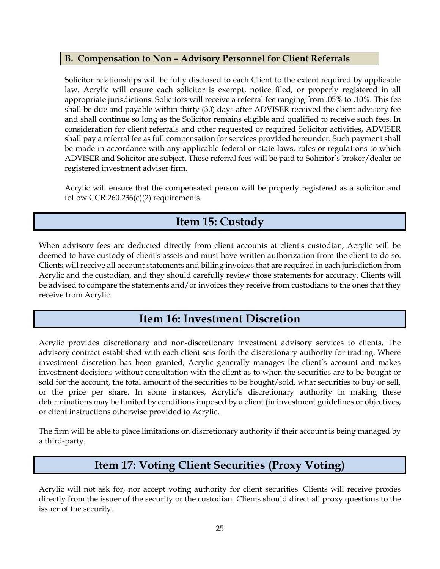## <span id="page-24-0"></span>**B. Compensation to Non – Advisory Personnel for Client Referrals**

Solicitor relationships will be fully disclosed to each Client to the extent required by applicable law. Acrylic will ensure each solicitor is exempt, notice filed, or properly registered in all appropriate jurisdictions. Solicitors will receive a referral fee ranging from .05% to .10%. This fee shall be due and payable within thirty (30) days after ADVISER received the client advisory fee and shall continue so long as the Solicitor remains eligible and qualified to receive such fees. In consideration for client referrals and other requested or required Solicitor activities, ADVISER shall pay a referral fee as full compensation for services provided hereunder. Such payment shall be made in accordance with any applicable federal or state laws, rules or regulations to which ADVISER and Solicitor are subject. These referral fees will be paid to Solicitor's broker/dealer or registered investment adviser firm.

Acrylic will ensure that the compensated person will be properly registered as a solicitor and follow CCR  $260.236(c)(2)$  requirements.

# **Item 15: Custody**

<span id="page-24-1"></span>When advisory fees are deducted directly from client accounts at client's custodian, Acrylic will be deemed to have custody of client's assets and must have written authorization from the client to do so. Clients will receive all account statements and billing invoices that are required in each jurisdiction from Acrylic and the custodian, and they should carefully review those statements for accuracy. Clients will be advised to compare the statements and/or invoices they receive from custodians to the ones that they receive from Acrylic.

# **Item 16: Investment Discretion**

<span id="page-24-2"></span>Acrylic provides discretionary and non-discretionary investment advisory services to clients. The advisory contract established with each client sets forth the discretionary authority for trading. Where investment discretion has been granted, Acrylic generally manages the client's account and makes investment decisions without consultation with the client as to when the securities are to be bought or sold for the account, the total amount of the securities to be bought/sold, what securities to buy or sell, or the price per share. In some instances, Acrylic's discretionary authority in making these determinations may be limited by conditions imposed by a client (in investment guidelines or objectives, or client instructions otherwise provided to Acrylic.

The firm will be able to place limitations on discretionary authority if their account is being managed by a third-party.

# **Item 17: Voting Client Securities (Proxy Voting)**

<span id="page-24-3"></span>Acrylic will not ask for, nor accept voting authority for client securities. Clients will receive proxies directly from the issuer of the security or the custodian. Clients should direct all proxy questions to the issuer of the security.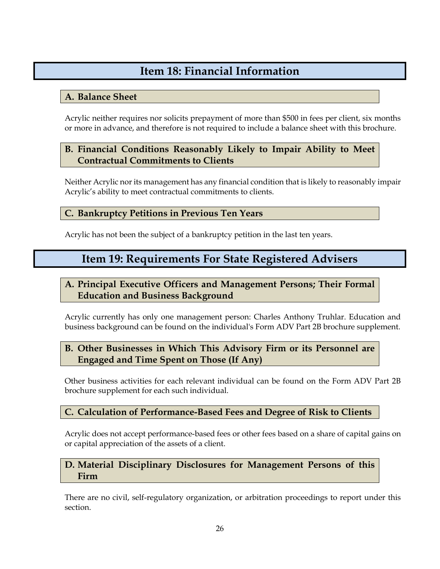# **Item 18: Financial Information**

# <span id="page-25-1"></span><span id="page-25-0"></span>**A. Balance Sheet**

Acrylic neither requires nor solicits prepayment of more than \$500 in fees per client, six months or more in advance, and therefore is not required to include a balance sheet with this brochure.

# <span id="page-25-2"></span>**B. Financial Conditions Reasonably Likely to Impair Ability to Meet Contractual Commitments to Clients**

Neither Acrylic nor its management has any financial condition that is likely to reasonably impair Acrylic's ability to meet contractual commitments to clients.

# <span id="page-25-3"></span>**C. Bankruptcy Petitions in Previous Ten Years**

<span id="page-25-4"></span>Acrylic has not been the subject of a bankruptcy petition in the last ten years.

# **Item 19: Requirements For State Registered Advisers**

# <span id="page-25-5"></span>**A. Principal Executive Officers and Management Persons; Their Formal Education and Business Background**

Acrylic currently has only one management person: Charles Anthony Truhlar. Education and business background can be found on the individual's Form ADV Part 2B brochure supplement.

# <span id="page-25-6"></span>**B. Other Businesses in Which This Advisory Firm or its Personnel are Engaged and Time Spent on Those (If Any)**

Other business activities for each relevant individual can be found on the Form ADV Part 2B brochure supplement for each such individual.

# <span id="page-25-7"></span>**C. Calculation of Performance-Based Fees and Degree of Risk to Clients**

Acrylic does not accept performance-based fees or other fees based on a share of capital gains on or capital appreciation of the assets of a client.

# <span id="page-25-8"></span>**D. Material Disciplinary Disclosures for Management Persons of this Firm**

There are no civil, self-regulatory organization, or arbitration proceedings to report under this section.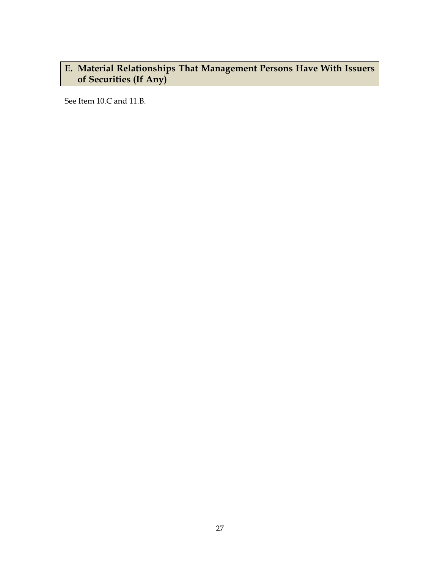# <span id="page-26-0"></span>**E. Material Relationships That Management Persons Have With Issuers of Securities (If Any)**

See Item 10.C and 11.B.